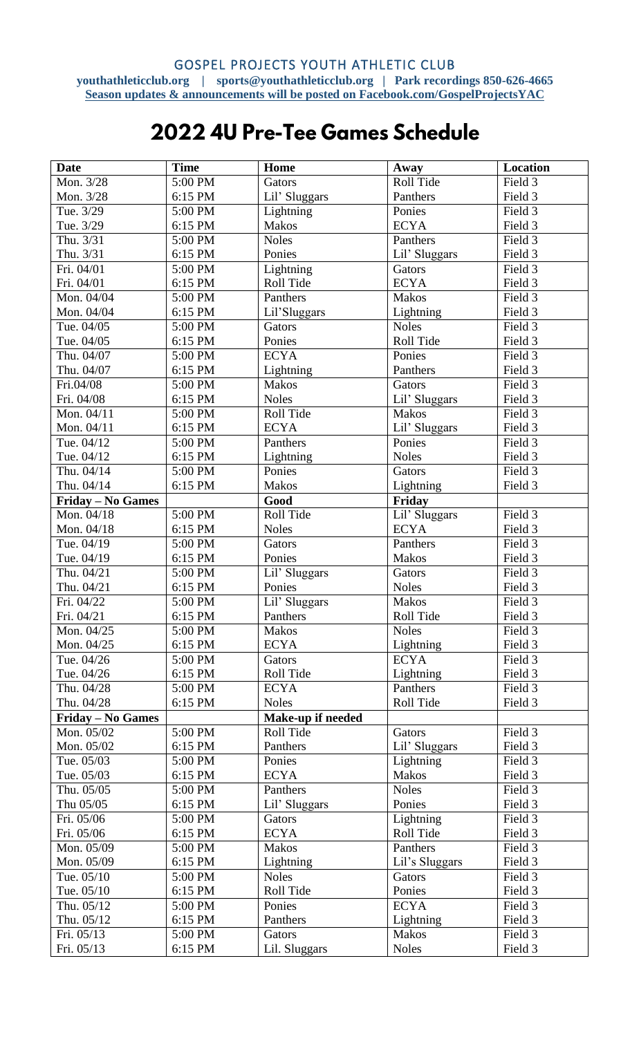## 2022 4U Pre-Tee Games Schedule

| <b>Date</b>              | <b>Time</b>        | Home                      | Away                     | Location           |
|--------------------------|--------------------|---------------------------|--------------------------|--------------------|
| Mon. 3/28                | 5:00 PM            | Gators                    | Roll Tide                | Field 3            |
| Mon. 3/28                | 6:15 PM            | Lil' Sluggars             | Panthers                 | Field 3            |
| Tue. 3/29                | 5:00 PM            | Lightning                 | Ponies                   | Field 3            |
| Tue. 3/29                | 6:15 PM            | <b>Makos</b>              | <b>ECYA</b>              | Field 3            |
| Thu. 3/31                | 5:00 PM            | <b>Noles</b>              | Panthers                 | Field 3            |
| Thu. 3/31                | 6:15 PM            | Ponies                    | Lil' Sluggars            | Field 3            |
| Fri. 04/01               | 5:00 PM            | Lightning                 | Gators                   | Field 3            |
| Fri. 04/01               | 6:15 PM            | Roll Tide                 | <b>ECYA</b>              | Field 3            |
| Mon. 04/04               | 5:00 PM            | Panthers                  | <b>Makos</b>             | Field 3            |
| Mon. 04/04               | 6:15 PM            | Lil'Sluggars              | Lightning                | Field 3            |
| Tue. 04/05               | 5:00 PM            | Gators                    | <b>Noles</b>             | Field 3            |
| Tue. 04/05               | 6:15 PM            | Ponies                    | Roll Tide                | Field 3            |
| Thu. 04/07               | 5:00 PM            | <b>ECYA</b>               | Ponies                   | Field 3            |
| Thu. 04/07               | 6:15 PM            | Lightning                 | Panthers                 | Field 3            |
| Fri.04/08                | 5:00 PM            | <b>Makos</b>              | Gators                   | Field 3            |
| Fri. 04/08               | 6:15 PM            | <b>Noles</b>              | Lil' Sluggars            | Field 3            |
| Mon. 04/11               | 5:00 PM            | Roll Tide                 | <b>Makos</b>             | Field 3            |
| Mon. 04/11               | 6:15 PM            | <b>ECYA</b>               | Lil' Sluggars            | Field 3            |
| Tue. 04/12               | 5:00 PM            | Panthers                  | Ponies                   | Field 3            |
| Tue. 04/12               | 6:15 PM            | Lightning                 | <b>Noles</b>             | Field 3            |
| Thu. 04/14               | 5:00 PM            | Ponies                    | Gators                   | Field 3            |
| Thu. 04/14               | 6:15 PM            | <b>Makos</b>              | Lightning                | Field 3            |
| Friday - No Games        |                    | Good                      | Friday                   |                    |
| Mon. 04/18               | 5:00 PM            | Roll Tide                 | Lil' Sluggars            | Field 3            |
| Mon. 04/18               | 6:15 PM            | <b>Noles</b>              | <b>ECYA</b>              | Field 3            |
| Tue. 04/19               | 5:00 PM            | Gators                    | Panthers                 | Field 3            |
| Tue. 04/19               | 6:15 PM            | Ponies                    | <b>Makos</b>             | Field 3            |
| Thu. 04/21               | 5:00 PM            | Lil' Sluggars             | Gators                   | Field 3            |
| Thu. 04/21               | 6:15 PM            | Ponies                    | <b>Noles</b>             | Field 3            |
| Fri. 04/22               | 5:00 PM            | Lil' Sluggars             | <b>Makos</b>             | Field 3            |
| Fri. 04/21               | 6:15 PM            | Panthers                  | Roll Tide                | Field 3            |
| Mon. 04/25               | 5:00 PM            | <b>Makos</b>              | <b>Noles</b>             | Field 3            |
| Mon. 04/25               | 6:15 PM            | <b>ECYA</b>               | Lightning                | Field 3            |
| Tue. 04/26               | 5:00 PM            | Gators                    | <b>ECYA</b>              | Field 3            |
| Tue. 04/26               | 6:15 PM            | Roll Tide                 | Lightning                | Field 3            |
| Thu. 04/28               | 5:00 PM            | <b>ECYA</b>               | Panthers                 | Field 3            |
| Thu. 04/28               | 6:15 PM            | <b>Noles</b>              | Roll Tide                | Field 3            |
| Friday - No Games        |                    | Make-up if needed         |                          |                    |
| Mon. 05/02               | 5:00 PM            | Roll Tide                 | Gators                   | Field 3            |
| Mon. 05/02               | 6:15 PM            | Panthers                  | Lil' Sluggars            | Field 3            |
| Tue. 05/03               | 5:00 PM            | Ponies                    | Lightning                | Field 3            |
| Tue. 05/03               | 6:15 PM            | <b>ECYA</b>               | Makos                    | Field 3            |
| Thu. 05/05               | 5:00 PM            | Panthers                  | <b>Noles</b>             | Field 3            |
| Thu 05/05                | 6:15 PM            | Lil' Sluggars             | Ponies                   | Field 3<br>Field 3 |
| Fri. 05/06<br>Fri. 05/06 | 5:00 PM<br>6:15 PM | Gators<br><b>ECYA</b>     | Lightning                |                    |
| Mon. 05/09               | 5:00 PM            | Makos                     | Roll Tide<br>Panthers    | Field 3<br>Field 3 |
| Mon. 05/09               | 6:15 PM            |                           |                          | Field 3            |
| Tue. 05/10               | 5:00 PM            | Lightning<br><b>Noles</b> | Lil's Sluggars<br>Gators | Field 3            |
| Tue. 05/10               | 6:15 PM            | Roll Tide                 | Ponies                   | Field 3            |
| Thu. 05/12               | 5:00 PM            | Ponies                    | <b>ECYA</b>              | Field 3            |
| Thu. 05/12               | 6:15 PM            | Panthers                  | Lightning                | Field 3            |
| Fri. 05/13               | 5:00 PM            | Gators                    | <b>Makos</b>             | Field 3            |
| Fri. 05/13               | 6:15 PM            | Lil. Sluggars             | <b>Noles</b>             | Field 3            |
|                          |                    |                           |                          |                    |